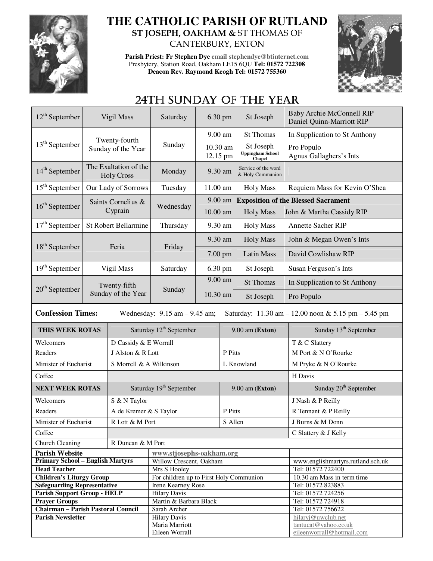

## **THE CATHOLIC PARISH OF RUTLAND ST JOSEPH, OAKHAM &** ST THOMAS OF CANTERBURY, EXTON

**Parish Priest: Fr Stephen Dye email stephendye@btinternet.com** Presbytery, Station Road, Oakham LE15 6QU **Tel: 01572 722308 Deacon Rev. Raymond Keogh Tel: 01572 755360** 



# 24TH SUNDAY OF THE YEAR

| $12^{th}$ September                                                                                                                                     | Vigil Mass                                 |                         | Saturday                                            |                      | 6.30 pm   | St Joseph                                      | Baby Archie McConnell RIP<br>Daniel Quinn-Marriott RIP |  |  |
|---------------------------------------------------------------------------------------------------------------------------------------------------------|--------------------------------------------|-------------------------|-----------------------------------------------------|----------------------|-----------|------------------------------------------------|--------------------------------------------------------|--|--|
|                                                                                                                                                         |                                            |                         |                                                     | 9.00 am              |           | <b>St Thomas</b>                               | In Supplication to St Anthony                          |  |  |
| $13th$ September                                                                                                                                        | Twenty-fourth<br>Sunday of the Year        |                         | Sunday                                              | 10.30 am<br>12.15 pm |           | St Joseph<br><b>Uppingham School</b><br>Chapel | Pro Populo<br>Agnus Gallaghers's Ints                  |  |  |
| $14th$ September                                                                                                                                        | The Exaltation of the<br><b>Holy Cross</b> |                         | Monday                                              |                      | 9.30 am   | Service of the word<br>& Holy Communion        |                                                        |  |  |
| $15th$ September                                                                                                                                        |                                            | Our Lady of Sorrows     | Tuesday                                             | 11.00 am             |           | <b>Holy Mass</b>                               | Requiem Mass for Kevin O'Shea                          |  |  |
|                                                                                                                                                         | Saints Cornelius &                         |                         |                                                     |                      | $9.00$ am |                                                | <b>Exposition of the Blessed Sacrament</b>             |  |  |
| $16th$ September                                                                                                                                        |                                            | Cyprain                 | Wednesday                                           | $10.00$ am           |           | <b>Holy Mass</b>                               | John & Martha Cassidy RIP                              |  |  |
| $17th$ September                                                                                                                                        |                                            | St Robert Bellarmine    | Thursday                                            | 9.30 am              |           | <b>Holy Mass</b>                               | <b>Annette Sacher RIP</b>                              |  |  |
| $18th$ September                                                                                                                                        |                                            |                         |                                                     | 9.30 am              |           | <b>Holy Mass</b>                               | John & Megan Owen's Ints                               |  |  |
|                                                                                                                                                         | Feria                                      |                         | Friday                                              |                      | 7.00 pm   | <b>Latin Mass</b>                              | David Cowlishaw RIP                                    |  |  |
| $19th$ September                                                                                                                                        |                                            | Vigil Mass              | Saturday                                            |                      | 6.30 pm   | St Joseph                                      | Susan Ferguson's Ints                                  |  |  |
|                                                                                                                                                         |                                            | Twenty-fifth            | Sunday                                              |                      | 9.00 am   | <b>St Thomas</b>                               | In Supplication to St Anthony                          |  |  |
| $20th$ September                                                                                                                                        |                                            | Sunday of the Year      |                                                     | 10.30 am             |           | St Joseph                                      | Pro Populo                                             |  |  |
| <b>Confession Times:</b><br>Wednesday: $9.15$ am $- 9.45$ am;<br>Saturday: $11.30 \text{ am} - 12.00 \text{ noon} \& 5.15 \text{ pm} - 5.45 \text{ pm}$ |                                            |                         |                                                     |                      |           |                                                |                                                        |  |  |
|                                                                                                                                                         |                                            |                         |                                                     |                      |           |                                                |                                                        |  |  |
| THIS WEEK ROTAS                                                                                                                                         |                                            |                         | Saturday $12th$ September                           |                      |           | $9.00$ am (Exton)                              | Sunday 13 <sup>th</sup> September                      |  |  |
| Welcomers                                                                                                                                               |                                            | D Cassidy & E Worrall   |                                                     |                      |           |                                                | T & C Slattery                                         |  |  |
| Readers                                                                                                                                                 |                                            | J Alston & R Lott       |                                                     |                      | P Pitts   |                                                | M Port & N O'Rourke                                    |  |  |
| Minister of Eucharist                                                                                                                                   |                                            | S Morrell & A Wilkinson |                                                     |                      |           | L Knowland                                     | M Pryke & N O'Rourke                                   |  |  |
| Coffee                                                                                                                                                  |                                            |                         |                                                     |                      |           |                                                | H Davis                                                |  |  |
| <b>NEXT WEEK ROTAS</b>                                                                                                                                  |                                            |                         | Saturday 19 <sup>th</sup> September                 |                      |           | $9.00$ am (Exton)                              | Sunday 20 <sup>th</sup> September                      |  |  |
| Welcomers                                                                                                                                               |                                            | S & N Taylor            |                                                     |                      |           |                                                | J Nash & P Reilly                                      |  |  |
| Readers                                                                                                                                                 |                                            | A de Kremer & S Taylor  |                                                     |                      | P Pitts   |                                                | R Tennant & P Reilly                                   |  |  |
|                                                                                                                                                         |                                            |                         |                                                     |                      |           |                                                |                                                        |  |  |
| Minister of Eucharist                                                                                                                                   |                                            | R Lott & M Port         |                                                     |                      | S Allen   |                                                | J Burns & M Donn                                       |  |  |
| Coffee                                                                                                                                                  |                                            |                         |                                                     |                      |           |                                                | C Slattery & J Kelly                                   |  |  |
| Church Cleaning                                                                                                                                         |                                            | R Duncan & M Port       |                                                     |                      |           |                                                |                                                        |  |  |
| <b>Parish Website</b><br><b>Primary School - English Martyrs</b>                                                                                        |                                            |                         | www.stjosephs-oakham.org<br>Willow Crescent, Oakham |                      |           |                                                | www.englishmartyrs.rutland.sch.uk                      |  |  |
| <b>Head Teacher</b>                                                                                                                                     |                                            |                         | Mrs S Hooley                                        |                      |           |                                                | Tel: 01572 722400                                      |  |  |
| <b>Children's Liturgy Group</b>                                                                                                                         |                                            |                         | For children up to First Holy Communion             |                      |           |                                                | 10.30 am Mass in term time                             |  |  |
| <b>Safeguarding Representative</b>                                                                                                                      |                                            |                         | Irene Kearney Rose                                  |                      |           |                                                | Tel: 01572 823883                                      |  |  |
| <b>Parish Support Group - HELP</b>                                                                                                                      |                                            |                         | <b>Hilary Davis</b>                                 |                      |           |                                                | Tel: 01572 724256                                      |  |  |
| <b>Prayer Groups</b>                                                                                                                                    |                                            |                         | Martin & Barbara Black                              |                      |           |                                                | Tel: 01572 724918                                      |  |  |
| <b>Chairman - Parish Pastoral Council</b>                                                                                                               |                                            |                         | Sarah Archer                                        |                      |           |                                                | Tel: 01572 756622                                      |  |  |
| <b>Parish Newsletter</b>                                                                                                                                |                                            |                         | <b>Hilary Davis</b><br>Maria Marriott               |                      |           |                                                | hilaryj@uwclub.net<br>tantucat@yahoo.co.uk             |  |  |